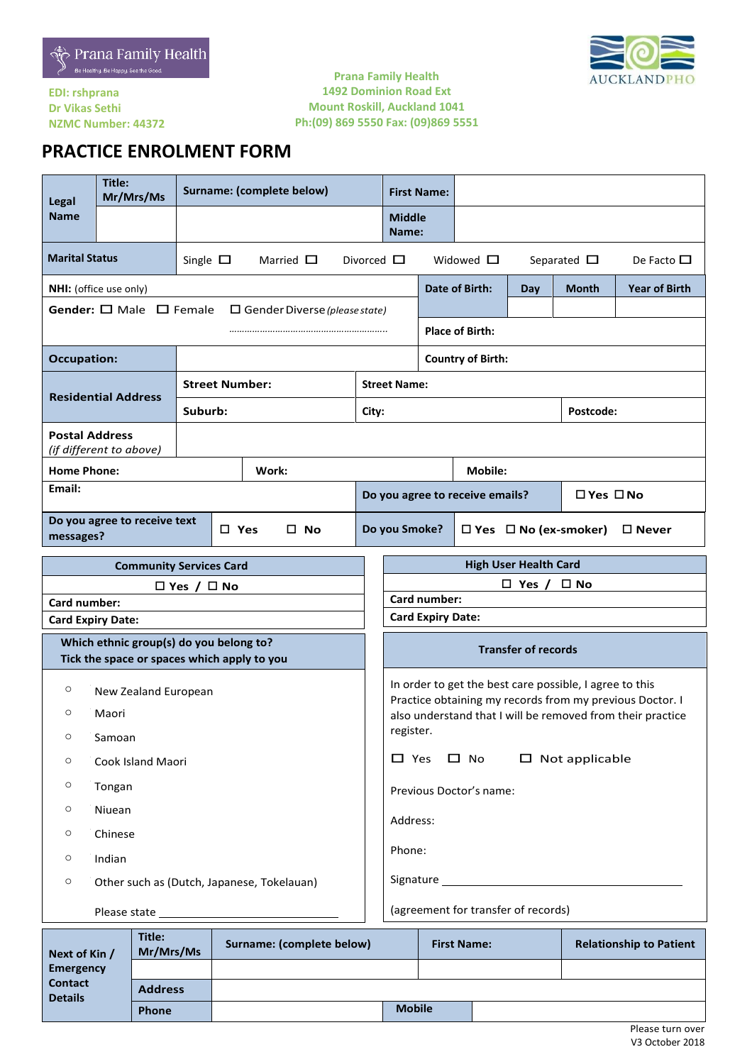



### **EDI: rshprana Dr Vikas Sethi NZMC Number: 44372**

### **Prana Family Health 1492 Dominion Road Ext Mount Roskill, Auckland 1041 Ph:(09) 869 5550 Fax: (09)869 5551**

# **PRACTICE ENROLMENT FORM**

| Legal                                                                      | Title:<br>Mr/Mrs/Ms                                                                    | Surname: (complete below) |                 |       |                                                                      |                        |                                                                                                                        | <b>First Name:</b> |                       |                              |       |                                |
|----------------------------------------------------------------------------|----------------------------------------------------------------------------------------|---------------------------|-----------------|-------|----------------------------------------------------------------------|------------------------|------------------------------------------------------------------------------------------------------------------------|--------------------|-----------------------|------------------------------|-------|--------------------------------|
| <b>Name</b>                                                                |                                                                                        |                           |                 |       |                                                                      |                        | <b>Middle</b><br>Name:                                                                                                 |                    |                       |                              |       |                                |
| <b>Marital Status</b><br>Single $\square$<br>Married $\Box$                |                                                                                        |                           | Divorced $\Box$ |       |                                                                      | Widowed $\Box$         |                                                                                                                        | Separated $\Box$   | De Facto $\Box$       |                              |       |                                |
|                                                                            | NHI: (office use only)                                                                 |                           |                 |       |                                                                      |                        |                                                                                                                        |                    | <b>Date of Birth:</b> | Day                          | Month | <b>Year of Birth</b>           |
|                                                                            | Gender: $\square$ Male $\square$ Female                                                |                           |                 |       | $\Box$ Gender Diverse (please state)                                 |                        |                                                                                                                        |                    |                       |                              |       |                                |
|                                                                            |                                                                                        |                           |                 |       |                                                                      | <b>Place of Birth:</b> |                                                                                                                        |                    |                       |                              |       |                                |
| <b>Occupation:</b>                                                         |                                                                                        |                           |                 |       |                                                                      |                        | <b>Country of Birth:</b>                                                                                               |                    |                       |                              |       |                                |
|                                                                            |                                                                                        | <b>Street Number:</b>     |                 |       |                                                                      |                        | <b>Street Name:</b>                                                                                                    |                    |                       |                              |       |                                |
|                                                                            | <b>Residential Address</b>                                                             | Suburb:                   |                 |       | City:                                                                | Postcode:              |                                                                                                                        |                    |                       |                              |       |                                |
| <b>Postal Address</b>                                                      | (if different to above)                                                                |                           |                 |       |                                                                      |                        |                                                                                                                        |                    |                       |                              |       |                                |
| <b>Home Phone:</b>                                                         |                                                                                        |                           |                 | Work: |                                                                      |                        | <b>Mobile:</b>                                                                                                         |                    |                       |                              |       |                                |
| Email:                                                                     |                                                                                        |                           |                 |       |                                                                      |                        | □ Yes □ No<br>Do you agree to receive emails?                                                                          |                    |                       |                              |       |                                |
| Do you agree to receive text<br>$\square$ Yes<br>$\square$ No<br>messages? |                                                                                        |                           |                 |       | $\Box$ Yes $\Box$ No (ex-smoker)<br>Do you Smoke?<br>$\square$ Never |                        |                                                                                                                        |                    |                       |                              |       |                                |
|                                                                            | <b>Community Services Card</b>                                                         |                           |                 |       |                                                                      |                        |                                                                                                                        |                    |                       | <b>High User Health Card</b> |       |                                |
|                                                                            |                                                                                        | $\Box$ Yes / $\Box$ No    |                 |       |                                                                      |                        | $\square$ No<br>$\Box$ Yes /                                                                                           |                    |                       |                              |       |                                |
| Card number:                                                               |                                                                                        |                           |                 |       |                                                                      |                        |                                                                                                                        | Card number:       |                       |                              |       |                                |
|                                                                            | <b>Card Expiry Date:</b>                                                               |                           |                 |       |                                                                      |                        | <b>Card Expiry Date:</b>                                                                                               |                    |                       |                              |       |                                |
|                                                                            | Which ethnic group(s) do you belong to?<br>Tick the space or spaces which apply to you |                           |                 |       |                                                                      |                        | <b>Transfer of records</b>                                                                                             |                    |                       |                              |       |                                |
| $\circ$                                                                    | New Zealand European                                                                   |                           |                 |       | In order to get the best care possible, I agree to this              |                        |                                                                                                                        |                    |                       |                              |       |                                |
| $\circ$                                                                    | Maori                                                                                  |                           |                 |       |                                                                      |                        | Practice obtaining my records from my previous Doctor. I<br>also understand that I will be removed from their practice |                    |                       |                              |       |                                |
| $\circ$                                                                    | Samoan                                                                                 |                           |                 |       | register.                                                            |                        |                                                                                                                        |                    |                       |                              |       |                                |
| $\circ$                                                                    | Cook Island Maori                                                                      |                           |                 |       | $\Box$ Not applicable<br>$\Box$ Yes $\Box$ No                        |                        |                                                                                                                        |                    |                       |                              |       |                                |
| O                                                                          | Tongan                                                                                 |                           |                 |       | Previous Doctor's name:                                              |                        |                                                                                                                        |                    |                       |                              |       |                                |
| Niuean<br>O                                                                |                                                                                        |                           |                 |       |                                                                      |                        |                                                                                                                        |                    |                       |                              |       |                                |
| Chinese<br>O                                                               |                                                                                        |                           |                 |       | Address:                                                             |                        |                                                                                                                        |                    |                       |                              |       |                                |
| $\circ$<br>Indian                                                          |                                                                                        |                           |                 |       | Phone:                                                               |                        |                                                                                                                        |                    |                       |                              |       |                                |
| Other such as (Dutch, Japanese, Tokelauan)<br>$\circ$                      |                                                                                        |                           |                 |       |                                                                      |                        |                                                                                                                        |                    |                       |                              |       |                                |
|                                                                            |                                                                                        |                           |                 |       | (agreement for transfer of records)                                  |                        |                                                                                                                        |                    |                       |                              |       |                                |
|                                                                            | Title:                                                                                 |                           |                 |       | Surnamo: (complete below) Eirst Namo:                                |                        |                                                                                                                        |                    |                       |                              |       | <b>Polationship to Pationt</b> |

| Next of Kin /                    | Title:<br>Mr/Mrs/Ms | Surname: (complete below) | <b>First Name:</b> | <b>Relationship to Patient</b> |
|----------------------------------|---------------------|---------------------------|--------------------|--------------------------------|
| <b>Emergency</b>                 |                     |                           |                    |                                |
| <b>Contact</b><br><b>Details</b> | <b>Address</b>      |                           |                    |                                |
|                                  | <b>Phone</b>        | <b>Mobile</b>             |                    |                                |